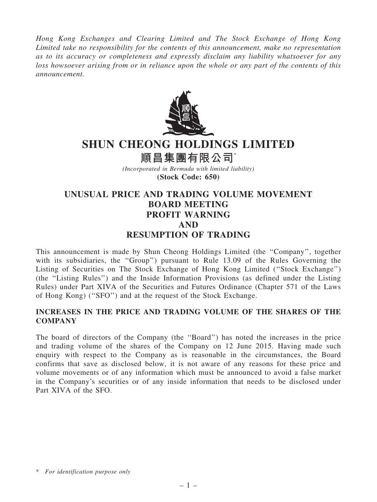Hong Kong Exchanges and Clearing Limited and The Stock Exchange of Hong Kong Limited take no responsibility for the contents of this announcement, make no representation as to its accuracy or completeness and expressly disclaim any liability whatsoever for any loss howsoever arising from or in reliance upon the whole or any part of the contents of this announcement.



# SHUN CHEONG HOLDINGS LIMITED

順昌集團有限公司\*

(Incorporated in Bermuda with limited liability) (Stock Code: 650)

# UNUSUAL PRICE AND TRADING VOLUME MOVEMENT BOARD MEETING PROFIT WARNING AND RESUMPTION OF TRADING

This announcement is made by Shun Cheong Holdings Limited (the ''Company'', together with its subsidiaries, the "Group") pursuant to Rule 13.09 of the Rules Governing the Listing of Securities on The Stock Exchange of Hong Kong Limited (''Stock Exchange'') (the ''Listing Rules'') and the Inside Information Provisions (as defined under the Listing Rules) under Part XIVA of the Securities and Futures Ordinance (Chapter 571 of the Laws of Hong Kong) (''SFO'') and at the request of the Stock Exchange.

## INCREASES IN THE PRICE AND TRADING VOLUME OF THE SHARES OF THE **COMPANY**

The board of directors of the Company (the ''Board'') has noted the increases in the price and trading volume of the shares of the Company on 12 June 2015. Having made such enquiry with respect to the Company as is reasonable in the circumstances, the Board confirms that save as disclosed below, it is not aware of any reasons for these price and volume movements or of any information which must be announced to avoid a false market in the Company's securities or of any inside information that needs to be disclosed under Part XIVA of the SFO.

<sup>\*</sup> For identification purpose only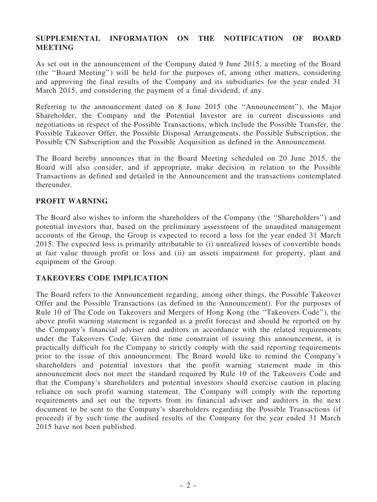#### SUPPLEMENTAL INFORMATION ON THE NOTIFICATION OF BOARD **MEETING**

As set out in the announcement of the Company dated 9 June 2015, a meeting of the Board (the ''Board Meeting'') will be held for the purposes of, among other matters, considering and approving the final results of the Company and its subsidiaries for the year ended 31 March 2015, and considering the payment of a final dividend, if any.

Referring to the announcement dated on 8 June 2015 (the ''Announcement''), the Major Shareholder, the Company and the Potential Investor are in current discussions and negotiations in respect of the Possible Transactions, which include the Possible Transfer, the Possible Takeover Offer, the Possible Disposal Arrangements, the Possible Subscription, the Possible CN Subscription and the Possible Acquisition as defined in the Announcement.

The Board hereby announces that in the Board Meeting scheduled on 20 June 2015, the Board will also consider, and if appropriate, make decision in relation to the Possible Transactions as defined and detailed in the Announcement and the transactions contemplated thereunder.

#### PROFIT WARNING

The Board also wishes to inform the shareholders of the Company (the ''Shareholders'') and potential investors that, based on the preliminary assessment of the unaudited management accounts of the Group, the Group is expected to record a loss for the year ended 31 March 2015. The expected loss is primarily attributable to (i) unrealized losses of convertible bonds at fair value through profit or loss and (ii) an assets impairment for property, plant and equipment of the Group.

## TAKEOVERS CODE IMPLICATION

The Board refers to the Announcement regarding, among other things, the Possible Takeover Offer and the Possible Transactions (as defined in the Announcement). For the purposes of Rule 10 of The Code on Takeovers and Mergers of Hong Kong (the ''Takeovers Code''), the above profit warning statement is regarded as a profit forecast and should be reported on by the Company's financial adviser and auditors in accordance with the related requirements under the Takeovers Code. Given the time constraint of issuing this announcement, it is practically difficult for the Company to strictly comply with the said reporting requirements prior to the issue of this announcement. The Board would like to remind the Company's shareholders and potential investors that the profit warning statement made in this announcement does not meet the standard required by Rule 10 of the Takeovers Code and that the Company's shareholders and potential investors should exercise caution in placing reliance on such profit warning statement. The Company will comply with the reporting requirements and set out the reports from its financial adviser and auditors in the next document to be sent to the Company's shareholders regarding the Possible Transactions (if proceed) if by such time the audited results of the Company for the year ended 31 March 2015 have not been published.